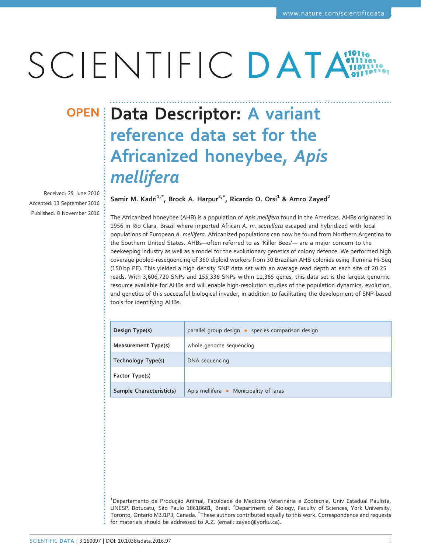# SCIENTIFIC DATA

Received: 29 June 2016 Accepted: 13 September 2016 Published: 8 November 2016

## OPEN Data Descriptor: A variant reference data set for the Africanized honeybee, Apis mellifera

Samir M. Kadri<sup>1,\*</sup>, Brock A. Harpur<sup>2,\*</sup>, Ricardo O. Orsi<sup>1</sup> & Amro Zayed<sup>2</sup>

The Africanized honeybee (AHB) is a population of Apis mellifera found in the Americas. AHBs originated in 1956 in Rio Clara, Brazil where imported African A. m. scutellata escaped and hybridized with local populations of European A. mellifera. Africanized populations can now be found from Northern Argentina to the Southern United States. AHBs—often referred to as 'Killer Bees'— are a major concern to the beekeeping industry as well as a model for the evolutionary genetics of colony defence. We performed high coverage pooled-resequencing of 360 diploid workers from 30 Brazilian AHB colonies using Illumina Hi-Seq (150 bp PE). This yielded a high density SNP data set with an average read depth at each site of 20.25 reads. With 3,606,720 SNPs and 155,336 SNPs within 11,365 genes, this data set is the largest genomic resource available for AHBs and will enable high-resolution studies of the population dynamics, evolution, and genetics of this successful biological invader, in addition to facilitating the development of SNP-based tools for identifying AHBs.

| Design Type(s)           | parallel group design · species comparison design |  |  |
|--------------------------|---------------------------------------------------|--|--|
| Measurement Type(s)      | whole genome sequencing                           |  |  |
| Technology Type(s)       | DNA sequencing                                    |  |  |
| Factor Type(s)           |                                                   |  |  |
| Sample Characteristic(s) | Apis mellifera • Municipality of laras            |  |  |

<sup>1</sup>Departamento de Produção Animal, Faculdade de Medicina Veterinária e Zootecnia, Univ Estadual Paulista, UNESP, Botucatu, São Paulo 18618681, Brasil. <sup>2</sup>Department of Biology, Faculty of Sciences, York University, Toronto, Ontario M3J1P3, Canada. <sup>\*</sup>These authors contributed equally to this work. Correspondence and requests for materials should be addressed to A.Z. (email: [zayed@yorku.ca](mailto:zayed@yorku.ca)).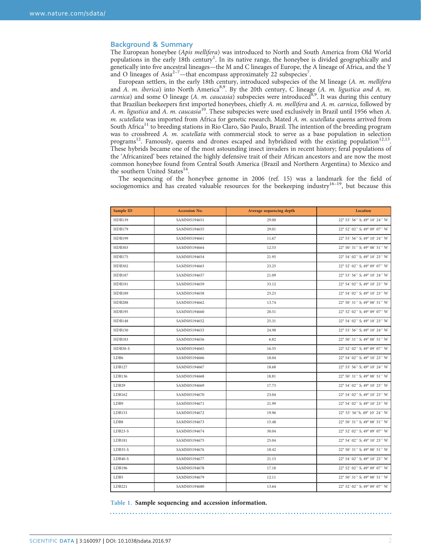#### <span id="page-1-0"></span>Background & Summary

The European honeybee (Apis mellifera) was introduced to North and South America from Old World populations in the early [1](#page-4-0)8th century<sup>1</sup>. In its native range, the honeybee is divided geographically and genetically into five an[cest](#page-4-0)ral lineages—the M and C lineages of Europe, the A lineage of Africa, and the Y and O lineages of Asia<sup>2-[7](#page-4-0)</sup>—that encompass approximately 22 subspecies<sup>7</sup>.

European settlers, in the early 18th century, introduced subspecies of the M lineage (A. m. mellifera and A. m. iberica) into North America<sup>8,9</sup>. By the 20th century, C lineage (A. m. ligustica and A. m. carnica) and some O lineage (A. m. caucasia) subspecies were introduced<sup>[8](#page-4-0),[9](#page-4-0)</sup>. It was during this century that Brazilian beekeepers first imported honeybees, chiefly A. m. mellifera and A. m. carnica, followed by A. m. ligustica and A. m. caucasia<sup>[10](#page-4-0)</sup>. These subspecies were used exclusively in Brazil until 1956 when A. m. scutellata was imported from Africa for genetic research. Mated A. m. scutellata queens arrived from South Africa<sup>[11](#page-4-0)</sup> to breeding stations in Rio Claro, São Paulo, Brazil. The intention of the breeding program was to crossbreed A. m. scutellata with commercial stock to serve as a base population in selection programs<sup>[12](#page-4-0)</sup>. Famously, queens and drones escaped and hybridized with the existing population<sup>12,13</sup>. These hybrids became one of the most astounding insect invaders in recent history; feral populations of the 'Africanized' bees retained the highly defensive trait of their African ancestors and are now the most common honeybee found from Central South America (Brazil and Northern Argentina) to Mexico and the southern United States<sup>14</sup>.

The sequencing of the honeybee genome in 2006 [\(ref. 15\)](#page-4-0) was a land[mark](#page-4-0) for the field of sociogenomics and has created valuable resources for the beekeeping industry<sup>16-19</sup>, but because this

| Sample ID     | Accession No. | Average sequencing depth | Location                      |
|---------------|---------------|--------------------------|-------------------------------|
| HDB139        | SAMN05194651  | 29.00                    | 22° 53' 56" S; 49° 10' 24" W  |
| <b>HDB179</b> | SAMN05194655  | 29.01                    | 22° 52' 02" S; 49° 09' 07" W  |
| <b>HDB199</b> | SAMN05194661  | 11.67                    | 22° 53' 56" S; 49° 10' 24" W  |
| HDB303        | SAMN05194664  | 12.53                    | 22° 50' 31" S; 49° 08' 51" W  |
| <b>HDB175</b> | SAMN05194654  | 21.95                    | 22° 54' 02" S; 49° 10' 23" W  |
| HDB302        | SAMN05194663  | 23.25                    | 22° 52' 02" S; 49° 09' 07" W  |
| <b>HDB187</b> | SAMN05194657  | 21.09                    | 22° 53' 56" S; 49° 10' 24" W  |
| HDB191        | SAMN05194659  | 33.12                    | 22° 54' 02" S; 49° 10' 23" W  |
| <b>HDB189</b> | SAMN05194658  | 25.23                    | 22° 54' 02" S; 49° 10' 23" W  |
| <b>HDB288</b> | SAMN05194662  | 13.74                    | 22° 50' 31" S; 49° 08' 51" W  |
| HDB195        | SAMN05194660  | 20.51                    | 22° 52' 02" S; 49° 09' 07" W  |
| <b>HDB148</b> | SAMN05194652  | 25.31                    | 22° 54' 02" S; 49° 10' 23" W  |
| <b>HDB150</b> | SAMN05194653  | 24.98                    | 22° 53' 56" S; 49° 10' 24" W  |
| HDB183        | SAMN05194656  | 6.82                     | 22° 50' 31" S; 49° 08' 51" W  |
| HDB30-S       | SAMN05194665  | 16.55                    | 22° 52' 02" S; 49° 09' 07" W  |
| LDB6          | SAMN05194666  | 18.04                    | 22° 54' 02" S; 49° 10' 23" W  |
| LDB127        | SAMN05194667  | 18.68                    | 22° 53' 56" S; 49° 10' 24" W  |
| LDB136        | SAMN05194668  | 18.81                    | 22° 50' 31" S; 49° 08' 51" W  |
| LDB29         | SAMN05194669  | 17.73                    | 22° 54' 02" S; 49° 10' 23" W  |
| LDB162        | SAMN05194670  | 23.04                    | 22° 54' 02" S; 49° 10' 23" W  |
| LDB9          | SAMN05194671  | 21.99                    | 22° 54' 02" S; 49° 10' 23" W  |
| LDB153        | SAMN05194672  | 19.96                    | 22° 53' 56''S; 49° 10' 24'' W |
| LDB8          | SAMN05194673  | 15.48                    | 22° 50' 31" S; 49° 08' 51" W  |
| LDB23-S       | SAMN05194674  | 30.04                    | 22° 52' 02" S; 49° 09' 07" W  |
| LDB181        | SAMN05194675  | 25.04                    | 22° 54' 02" S; 49° 10' 23" W  |
| $LDB35-S$     | SAMN05194676  | 18.42                    | 22° 50' 31" S; 49° 08' 51" W  |
| LDB40-S       | SAMN05194677  | 21.15                    | 22° 54' 02" S; 49° 10' 23" W  |
| LDB196        | SAMN05194678  | 17.18                    | 22° 52' 02" S; 49° 09' 07" W  |
| LDB5          | SAMN05194679  | 12.11                    | 22° 50' 31" S; 49° 08' 51" W  |
| LDB221        | SAMN05194680  | 13.64                    | 22° 52' 02" S; 49° 09' 07" W  |

Table 1. Sample sequencing and accession information.

SCIENTIFIC DATA | 3:160097 | DOI: 10.1038/sdata.2016.97 2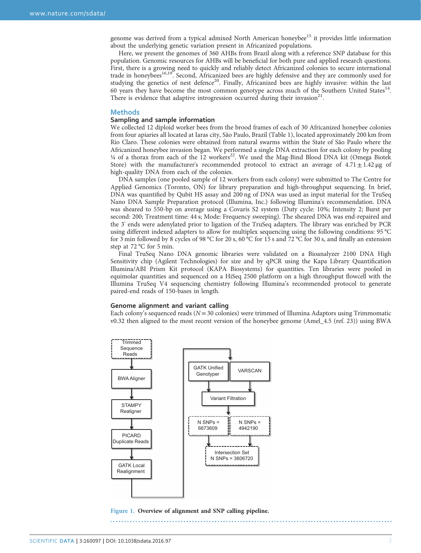<span id="page-2-0"></span>genome was derived from a typical admixed North American honeybee<sup>[15](#page-4-0)</sup> it provides little information about the underlying genetic variation present in Africanized populations.

Here, we present the genomes of 360 AHBs from Brazil along with a reference SNP database for this population. Genomic resources for AHBs will be beneficial for both pure and applied research questions. First, there is a growing need to quickly and reliably detect Africanized colonies to secure international trade in honeybees<sup>16,19</sup>. Second, Africanized bees are highly defensive and they are commonly used for studying the genetics of nest defence<sup>20</sup>. Finally, Africanized bees are highly invasive: within the last 60 years they have become the most common genotype across much of the Southern United States<sup>[14](#page-4-0)</sup>. There is evidence that adaptive introgression occurred during their invasion<sup>[21](#page-4-0)</sup>.

#### **Methods**

#### Sampling and sample information

We collected 12 diploid worker bees from the brood frames of each of 30 Africanized honeybee colonies from four apiaries all located at Iaras city, São Paulo, Brazil [\(Table 1](#page-1-0)), located approximately 200 km from Rio Claro. These colonies were obtained from natural swarms within the State of São Paulo where the Africanized honeybee invasion began. We performed a single DNA extraction for each colony by pooling 1/4 of a thorax from each of the 12 workers<sup>[22](#page-5-0)</sup>. We used the Mag-Bind Blood DNA kit (Omega Biotek Store) with the manufacturer's recommended protocol to extract an average of  $4.71 \pm 1.42 \,\mu g$  of high-quality DNA from each of the colonies.

DNA samples (one pooled sample of 12 workers from each colony) were submitted to The Centre for Applied Genomics (Toronto, ON) for library preparation and high-throughput sequencing. In brief, DNA was quantified by Qubit HS assay and 200 ng of DNA was used as input material for the TruSeq Nano DNA Sample Preparation protocol (Illumina, Inc.) following Illumina's recommendation. DNA was sheared to 550-bp on average using a Covaris S2 system (Duty cycle: 10%; Intensity 2; Burst per second: 200; Treatment time: 44 s; Mode: Frequency sweeping). The sheared DNA was end-repaired and the 3' ends were adenylated prior to ligation of the TruSeq adapters. The library was enriched by PCR using different indexed adapters to allow for multiplex sequencing using the following conditions: 95 °C for 3 min followed by 8 cycles of 98 °C for 20 s, 60 °C for 15 s and 72 °C for 30 s, and finally an extension step at 72 °C for 5 min.

Final TruSeq Nano DNA genomic libraries were validated on a Bioanalyzer 2100 DNA High Sensitivity chip (Agilent Technologies) for size and by qPCR using the Kapa Library Quantification Illumina/ABI Prism Kit protocol (KAPA Biosystems) for quantities. Ten libraries were pooled in equimolar quantities and sequenced on a HiSeq 2500 platform on a high throughput flowcell with the Illumina TruSeq V4 sequencing chemistry following Illumina's recommended protocol to generate paired-end reads of 150-bases in length.

#### Genome alignment and variant calling

Each colony's sequenced reads ( $N=30$  colonies) were trimmed of Illumina Adaptors using Trimmomatic v0.32 then aligned to the most recent version of the honeybee genome (Amel\_4.5 [\(ref. 23\)](#page-5-0)) using BWA



Figure 1. Overview of alignment and SNP calling pipeline.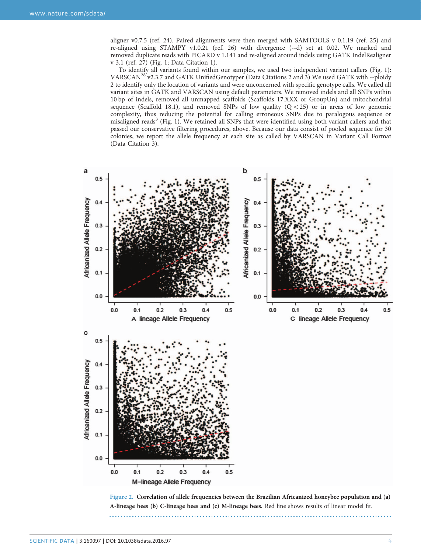<span id="page-3-0"></span>aligner v0.7.5 ([ref. 24\)](#page-5-0). Paired alignments were then merged with SAMTOOLS v 0.1.19 [\(ref. 25](#page-5-0)) and re-aligned using STAMPY v1.0.21 [\(ref. 26](#page-5-0)) with divergence (--d) set at 0.02. We marked and removed duplicate reads with PICARD v 1.141 and re-aligned around indels using GATK IndelRealigner v 3.1 [\(ref. 27\)](#page-5-0) [\(Fig. 1;](#page-2-0) Data Citation 1).

To identify all variants found within our samples, we used two independent variant callers [\(Fig. 1](#page-2-0)): VARSCAN<sup>28'</sup> v2.3.7 and GATK UnifiedGenotyper (Data Citations 2 and 3) We used GATK with --ploidy 2 to identify only the location of variants and were unconcerned with specific genotype calls. We called all variant sites in GATK and VARSCAN using default parameters. We removed indels and all SNPs within 10 bp of indels, removed all unmapped scaffolds (Scaffolds 17.XXX or GroupUn) and mitochondrial sequence (Scaffold 18.1), and removed SNPs of low quality  $(Q<sub>25</sub>)$  or in areas of low genomic complexity, thus reducing the potential for calling erroneous SNPs due to paralogous sequence or misaligned reads<sup>[3](#page-4-0)</sup> ([Fig. 1\)](#page-2-0). We retained all SNPs that were identified using both variant callers and that passed our conservative filtering procedures, above. Because our data consist of pooled sequence for 30 colonies, we report the allele frequency at each site as called by VARSCAN in Variant Call Format (Data Citation 3).



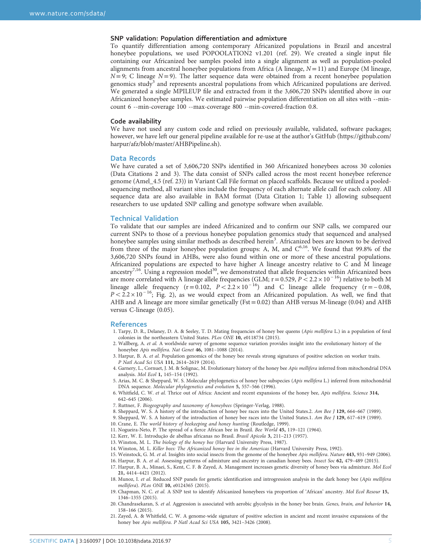#### <span id="page-4-0"></span>SNP validation: Population differentiation and admixture

To quantify differentiation among contemporary Africanized populations in Brazil and ancestral honeybee populations, we used POPOOLATION2 v1.201 [\(ref. 29\)](#page-5-0). We created a single input file containing our Africanized bee samples pooled into a single alignment as well as population-pooled alignments from ancestral honeybee populations from Africa (A lineage,  $N=11$ ) and Europe (M lineage,  $N=9$ ; C lineage  $N=9$ ). The latter sequence data were obtained from a recent honeybee population genomics study<sup>3</sup> and represents ancestral populations from which Africanized populations are derived. We generated a single MPILEUP file and extracted from it the 3,606,720 SNPs identified above in our Africanized honeybee samples. We estimated pairwise population differentiation on all sites with --mincount 6 --min-coverage 100 --max-coverage 800 --min-covered-fraction 0.8.

#### Code availability

We have not used any custom code and relied on previously available, validated, software packages; however, we have left our general pipeline available for re-use at the author's GitHub [\(https://github.com/](https://github.com/harpur/afz/blob/master/AHBPipeline.sh) [harpur/afz/blob/master/AHBPipeline.sh\)](https://github.com/harpur/afz/blob/master/AHBPipeline.sh).

#### Data Records

We have curated a set of 3,606,720 SNPs identified in 360 Africanized honeybees across 30 colonies (Data Citations 2 and 3). The data consist of SNPs called across the most recent honeybee reference genome (Amel\_4.5 [\(ref. 23\)](#page-5-0)) in Variant Call File format on placed scaffolds. Because we utilized a pooledsequencing method, all variant sites include the frequency of each alternate allele call for each colony. All sequence data are also available in BAM format (Data Citation 1; [Table 1\)](#page-1-0) allowing subsequent researchers to use updated SNP calling and genotype software when available.

#### Technical Validation

To validate that our samples are indeed Africanized and to confirm our SNP calls, we compared our current SNPs to those of a previous honeybee population genomics study that sequenced and analysed honeybee samples using similar methods as described herein<sup>3</sup>. Africanized bees are known to be derived from three of the major honeybee population groups: A, M, and  $C^{6,16}$ . We found that 99.8% of the 3,606,720 SNPs found in AHBs, were also found within one or more of these ancestral populations. Africanized populations are expected to have higher A lineage ancestry relative to C and M lineage ancestry<sup>7,16</sup>. Using a regression model<sup>30</sup>, we demonstrated that allele frequencies within Africanized bees are more correlated with A lineage allele frequencies (GLM;  $r = 0.529$ ,  $P < 2.2 \times 10^{-16}$ ) relative to both M lineage allele frequency (r=0.102,  $P < 2.2 \times 10^{-16}$ ) and C lineage allele frequency (r=−0.08,  $P < 2.2 \times 10^{-16}$ ; [Fig. 2\)](#page-3-0), as we would expect from an Africanized population. As well, we find that AHB and A lineage are more similar genetically ( $Fst = 0.02$ ) than AHB versus M-lineage (0.04) and AHB versus C-lineage (0.05).

#### References

- 1. Tarpy, D. R., Delaney, D. A. & Seeley, T. D. Mating frequencies of honey bee queens (Apis mellifera L.) in a population of feral colonies in the northeastern United States. PLos ONE 10, e0118734 (2015).
- 2. Wallberg, A. et al. A worldwide survey of genome sequence variation provides insight into the evolutionary history of the honeybee Apis mellifera. Nat Genet 46, 1081-1088 (2014).
- 3. Harpur, B. A. et al. Population genomics of the honey bee reveals strong signatures of positive selection on worker traits. P Natl Acad Sci USA 111, 2614–2619 (2014).
- 4. Garnery, L., Cornuet, J. M. & Solignac, M. Evolutionary history of the honey bee Apis mellifera inferred from mitochondrial DNA analysis. Mol Ecol 1, 145–154 (1992).
- 5. Arias, M. C. & Sheppard, W. S. Molecular phylogenetics of honey bee subspecies (Apis mellifera L.) inferred from mitochondrial DNA sequence. Molecular phylogenetics and evolution 5, 557–566 (1996).
- 6. Whitfield, C. W. et al. Thrice out of Africa: Ancient and recent expansions of the honey bee, Apis mellifera. Science 314, 642–645 (2006).
- 7. Ruttner, F. Biogeography and taxonomy of honeybees (Springer-Verlag, 1988).
- 8. Sheppard, W. S. A history of the introduction of honey bee races into the United States.2. Am Bee J 129, 664–667 (1989).
- 9. Sheppard, W. S. A history of the introduction of honey bee races into the United States.1. Am Bee J 129, 617–619 (1989).
- 10. Crane, E. The world history of beekeeping and honey hunting (Routledge, 1999).
- 11. Nogueira-Neto, P. The spread of a fierce African bee in Brazil. Bee World 45, 119–121 (1964).
- 12. Kerr, W. E. Introdução de abelhas africanas no Brasil. Brasil Apicola 3, 211–213 (1957).
- 13. Winston, M. L. The biology of the honey bee (Harvard University Press, 1987).
- 14. Winston, M. L. Killer bees: The Africanized honey bee in the Americas (Harvard University Press, 1992).
- 15. Weinstock, G. M. et al. Insights into social insects from the genome of the honeybee Apis mellifera. Nature 443, 931-949 (2006). 16. Harpur, B. A. et al. Assessing patterns of admixture and ancestry in canadian honey bees. Insect Soc 62, 479–489 (2015).
- 17. Harpur, B. A., Minaei, S., Kent, C. F. & Zayed, A. Management increases genetic diversity of honey bees via admixture. Mol Ecol
	- 21, 4414–4421 (2012).
- 18. Munoz, I. et al. Reduced SNP panels for genetic identification and introgression analysis in the dark honey bee (Apis mellifera mellifera). PLos ONE 10, e0124365 (2015).
- 19. Chapman, N. C. et al. A SNP test to identify Africanized honeybees via proportion of 'African' ancestry. Mol Ecol Resour 15, 1346–1355 (2015).
- 20. Chandrasekaran, S. et al. Aggression is associated with aerobic glycolysis in the honey bee brain. Genes, brain, and behavior 14, 158–166 (2015).
- 21. Zayed, A. & Whitfield, C. W. A genome-wide signature of positive selection in ancient and recent invasive expansions of the honey bee Apis mellifera. P Natl Acad Sci USA 105, 3421-3426 (2008).